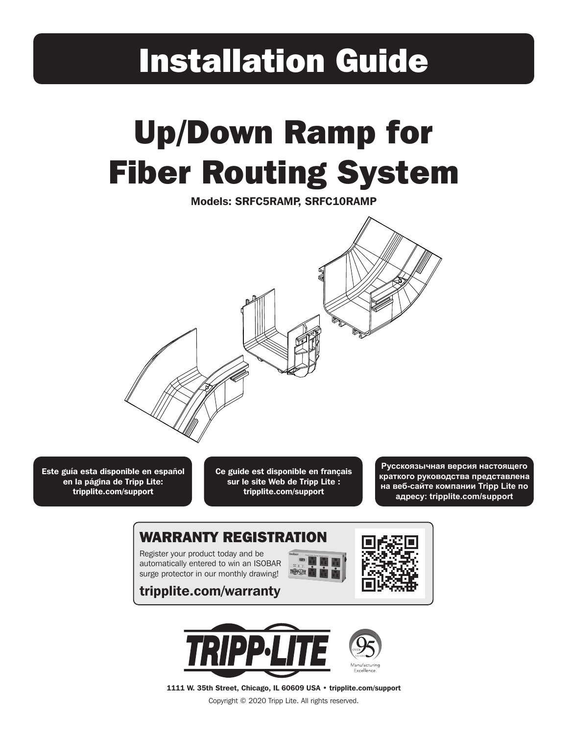## Installation Guide

# Up/Down Ramp for Fiber Routing System

Models: SRFC5RAMP, SRFC10RAMP



Este guía esta disponible en español en la página de Tripp Lite: tripplite.com/support

Ce guide est disponible en français sur le site Web de Tripp Lite : tripplite.com/support

**Русскоязычная версия настоящего краткого руководства представлена на веб-сайте компании Tripp Lite по адресу: tripplite.com/support** 

### WARRANTY REGISTRATION

Register your product today and be automatically entered to win an ISOBAR surge protector in our monthly drawing!

tripplite.com/warranty







1111 W. 35th Street, Chicago, IL 60609 USA • tripplite.com/support

Copyright © 2020 Tripp Lite. All rights reserved.